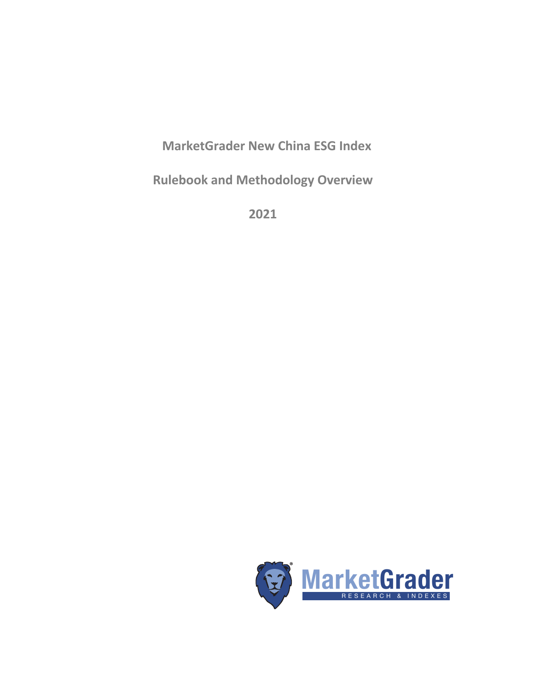**MarketGrader New China ESG Index**

**Rulebook and Methodology Overview**

**2021**

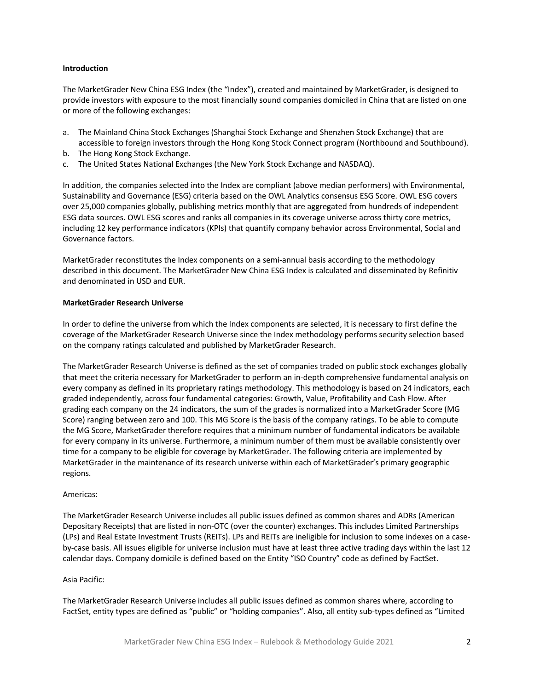## **Introduction**

The MarketGrader New China ESG Index (the "Index"), created and maintained by MarketGrader, is designed to provide investors with exposure to the most financially sound companies domiciled in China that are listed on one or more of the following exchanges:

- a. The Mainland China Stock Exchanges (Shanghai Stock Exchange and Shenzhen Stock Exchange) that are accessible to foreign investors through the Hong Kong Stock Connect program (Northbound and Southbound).
- b. The Hong Kong Stock Exchange.
- c. The United States National Exchanges (the New York Stock Exchange and NASDAQ).

In addition, the companies selected into the Index are compliant (above median performers) with Environmental, Sustainability and Governance (ESG) criteria based on the OWL Analytics consensus ESG Score. OWL ESG covers over 25,000 companies globally, publishing metrics monthly that are aggregated from hundreds of independent ESG data sources. OWL ESG scores and ranks all companies in its coverage universe across thirty core metrics, including 12 key performance indicators (KPIs) that quantify company behavior across Environmental, Social and Governance factors.

MarketGrader reconstitutes the Index components on a semi-annual basis according to the methodology described in this document. The MarketGrader New China ESG Index is calculated and disseminated by Refinitiv and denominated in USD and EUR.

## **MarketGrader Research Universe**

In order to define the universe from which the Index components are selected, it is necessary to first define the coverage of the MarketGrader Research Universe since the Index methodology performs security selection based on the company ratings calculated and published by MarketGrader Research.

The MarketGrader Research Universe is defined as the set of companies traded on public stock exchanges globally that meet the criteria necessary for MarketGrader to perform an in-depth comprehensive fundamental analysis on every company as defined in its proprietary ratings methodology. This methodology is based on 24 indicators, each graded independently, across four fundamental categories: Growth, Value, Profitability and Cash Flow. After grading each company on the 24 indicators, the sum of the grades is normalized into a MarketGrader Score (MG Score) ranging between zero and 100. This MG Score is the basis of the company ratings. To be able to compute the MG Score, MarketGrader therefore requires that a minimum number of fundamental indicators be available for every company in its universe. Furthermore, a minimum number of them must be available consistently over time for a company to be eligible for coverage by MarketGrader. The following criteria are implemented by MarketGrader in the maintenance of its research universe within each of MarketGrader's primary geographic regions.

## Americas:

The MarketGrader Research Universe includes all public issues defined as common shares and ADRs (American Depositary Receipts) that are listed in non-OTC (over the counter) exchanges. This includes Limited Partnerships (LPs) and Real Estate Investment Trusts (REITs). LPs and REITs are ineligible for inclusion to some indexes on a caseby-case basis. All issues eligible for universe inclusion must have at least three active trading days within the last 12 calendar days. Company domicile is defined based on the Entity "ISO Country" code as defined by FactSet.

## Asia Pacific:

The MarketGrader Research Universe includes all public issues defined as common shares where, according to FactSet, entity types are defined as "public" or "holding companies". Also, all entity sub-types defined as "Limited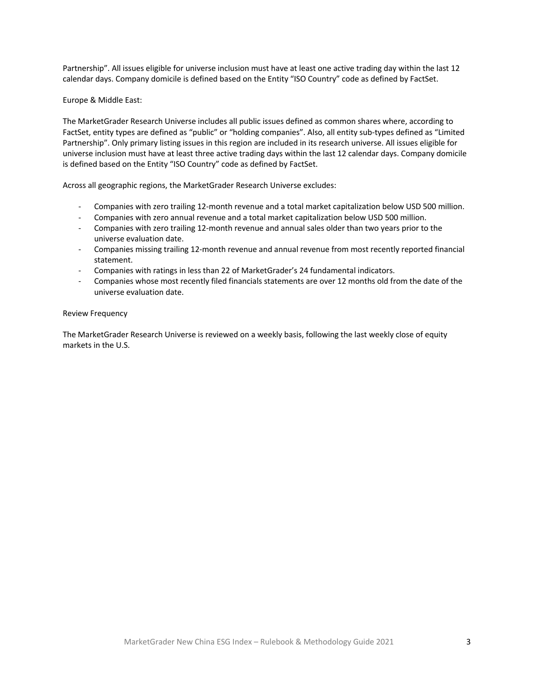Partnership". All issues eligible for universe inclusion must have at least one active trading day within the last 12 calendar days. Company domicile is defined based on the Entity "ISO Country" code as defined by FactSet.

## Europe & Middle East:

The MarketGrader Research Universe includes all public issues defined as common shares where, according to FactSet, entity types are defined as "public" or "holding companies". Also, all entity sub-types defined as "Limited Partnership". Only primary listing issues in this region are included in its research universe. All issues eligible for universe inclusion must have at least three active trading days within the last 12 calendar days. Company domicile is defined based on the Entity "ISO Country" code as defined by FactSet.

Across all geographic regions, the MarketGrader Research Universe excludes:

- Companies with zero trailing 12-month revenue and a total market capitalization below USD 500 million.
- Companies with zero annual revenue and a total market capitalization below USD 500 million.
- Companies with zero trailing 12-month revenue and annual sales older than two years prior to the universe evaluation date.
- Companies missing trailing 12-month revenue and annual revenue from most recently reported financial statement.
- Companies with ratings in less than 22 of MarketGrader's 24 fundamental indicators.
- Companies whose most recently filed financials statements are over 12 months old from the date of the universe evaluation date.

## Review Frequency

The MarketGrader Research Universe is reviewed on a weekly basis, following the last weekly close of equity markets in the U.S.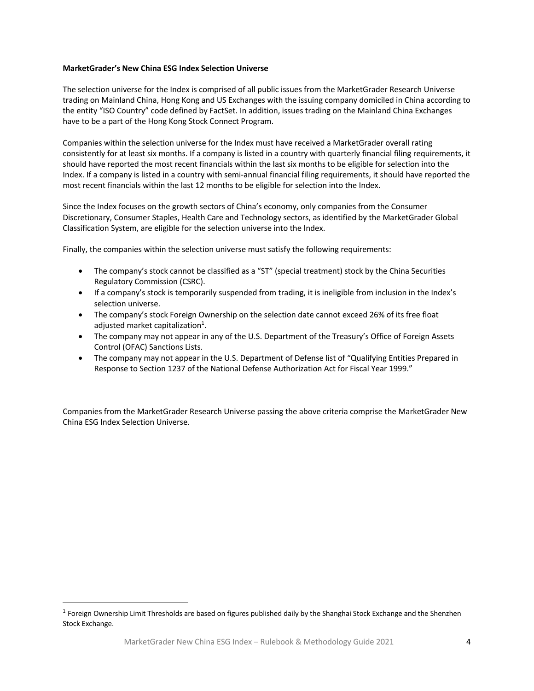## **MarketGrader's New China ESG Index Selection Universe**

The selection universe for the Index is comprised of all public issues from the MarketGrader Research Universe trading on Mainland China, Hong Kong and US Exchanges with the issuing company domiciled in China according to the entity "ISO Country" code defined by FactSet. In addition, issues trading on the Mainland China Exchanges have to be a part of the Hong Kong Stock Connect Program.

Companies within the selection universe for the Index must have received a MarketGrader overall rating consistently for at least six months. If a company is listed in a country with quarterly financial filing requirements, it should have reported the most recent financials within the last six months to be eligible for selection into the Index. If a company is listed in a country with semi-annual financial filing requirements, it should have reported the most recent financials within the last 12 months to be eligible for selection into the Index.

Since the Index focuses on the growth sectors of China's economy, only companies from the Consumer Discretionary, Consumer Staples, Health Care and Technology sectors, as identified by the MarketGrader Global Classification System, are eligible for the selection universe into the Index.

Finally, the companies within the selection universe must satisfy the following requirements:

- The company's stock cannot be classified as a "ST" (special treatment) stock by the China Securities Regulatory Commission (CSRC).
- If a company's stock is temporarily suspended from trading, it is ineligible from inclusion in the Index's selection universe.
- The company's stock Foreign Ownership on the selection date cannot exceed 26% of its free float adjusted market capitalization<sup>1</sup>.
- The company may not appear in any of the U.S. Department of the Treasury's Office of Foreign Assets Control (OFAC) Sanctions Lists.
- The company may not appear in the U.S. Department of Defense list of "Qualifying Entities Prepared in Response to Section 1237 of the National Defense Authorization Act for Fiscal Year 1999."

Companies from the MarketGrader Research Universe passing the above criteria comprise the MarketGrader New China ESG Index Selection Universe.

 $1$  Foreign Ownership Limit Thresholds are based on figures published daily by the Shanghai Stock Exchange and the Shenzhen Stock Exchange.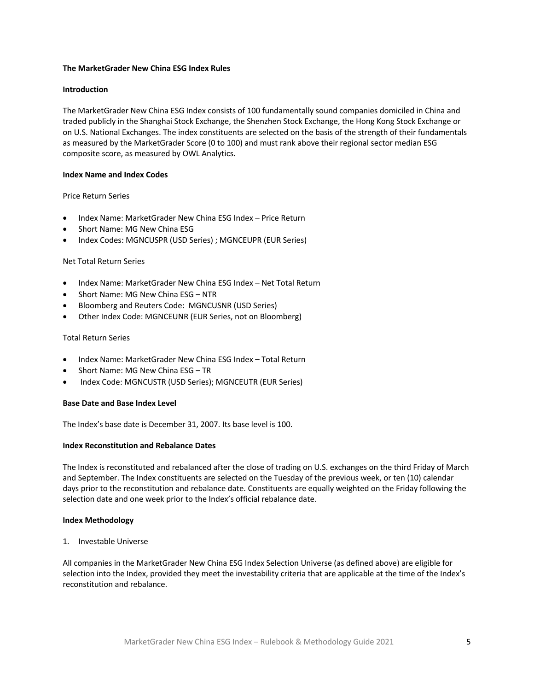# **The MarketGrader New China ESG Index Rules**

# **Introduction**

The MarketGrader New China ESG Index consists of 100 fundamentally sound companies domiciled in China and traded publicly in the Shanghai Stock Exchange, the Shenzhen Stock Exchange, the Hong Kong Stock Exchange or on U.S. National Exchanges. The index constituents are selected on the basis of the strength of their fundamentals as measured by the MarketGrader Score (0 to 100) and must rank above their regional sector median ESG composite score, as measured by OWL Analytics.

## **Index Name and Index Codes**

# Price Return Series

- Index Name: MarketGrader New China ESG Index Price Return
- Short Name: MG New China ESG
- Index Codes: MGNCUSPR (USD Series) ; MGNCEUPR (EUR Series)

## Net Total Return Series

- Index Name: MarketGrader New China ESG Index Net Total Return
- Short Name: MG New China ESG NTR
- Bloomberg and Reuters Code: MGNCUSNR (USD Series)
- Other Index Code: MGNCEUNR (EUR Series, not on Bloomberg)

## Total Return Series

- Index Name: MarketGrader New China ESG Index Total Return
- Short Name: MG New China ESG TR
- Index Code: MGNCUSTR (USD Series); MGNCEUTR (EUR Series)

## **Base Date and Base Index Level**

The Index's base date is December 31, 2007. Its base level is 100.

## **Index Reconstitution and Rebalance Dates**

The Index is reconstituted and rebalanced after the close of trading on U.S. exchanges on the third Friday of March and September. The Index constituents are selected on the Tuesday of the previous week, or ten (10) calendar days prior to the reconstitution and rebalance date. Constituents are equally weighted on the Friday following the selection date and one week prior to the Index's official rebalance date.

## **Index Methodology**

## 1. Investable Universe

All companies in the MarketGrader New China ESG Index Selection Universe (as defined above) are eligible for selection into the Index, provided they meet the investability criteria that are applicable at the time of the Index's reconstitution and rebalance.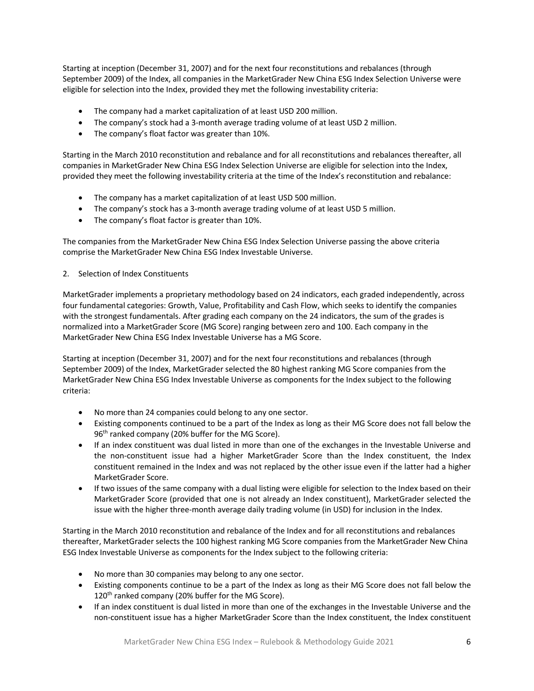Starting at inception (December 31, 2007) and for the next four reconstitutions and rebalances (through September 2009) of the Index, all companies in the MarketGrader New China ESG Index Selection Universe were eligible for selection into the Index, provided they met the following investability criteria:

- The company had a market capitalization of at least USD 200 million.
- The company's stock had a 3-month average trading volume of at least USD 2 million.
- The company's float factor was greater than 10%.

Starting in the March 2010 reconstitution and rebalance and for all reconstitutions and rebalances thereafter, all companies in MarketGrader New China ESG Index Selection Universe are eligible for selection into the Index, provided they meet the following investability criteria at the time of the Index's reconstitution and rebalance:

- The company has a market capitalization of at least USD 500 million.
- The company's stock has a 3-month average trading volume of at least USD 5 million.
- The company's float factor is greater than 10%.

The companies from the MarketGrader New China ESG Index Selection Universe passing the above criteria comprise the MarketGrader New China ESG Index Investable Universe.

# 2. Selection of Index Constituents

MarketGrader implements a proprietary methodology based on 24 indicators, each graded independently, across four fundamental categories: Growth, Value, Profitability and Cash Flow, which seeks to identify the companies with the strongest fundamentals. After grading each company on the 24 indicators, the sum of the grades is normalized into a MarketGrader Score (MG Score) ranging between zero and 100. Each company in the MarketGrader New China ESG Index Investable Universe has a MG Score.

Starting at inception (December 31, 2007) and for the next four reconstitutions and rebalances (through September 2009) of the Index, MarketGrader selected the 80 highest ranking MG Score companies from the MarketGrader New China ESG Index Investable Universe as components for the Index subject to the following criteria:

- No more than 24 companies could belong to any one sector.
- Existing components continued to be a part of the Index as long as their MG Score does not fall below the  $96<sup>th</sup>$  ranked company (20% buffer for the MG Score).
- If an index constituent was dual listed in more than one of the exchanges in the Investable Universe and the non-constituent issue had a higher MarketGrader Score than the Index constituent, the Index constituent remained in the Index and was not replaced by the other issue even if the latter had a higher MarketGrader Score.
- If two issues of the same company with a dual listing were eligible for selection to the Index based on their MarketGrader Score (provided that one is not already an Index constituent), MarketGrader selected the issue with the higher three-month average daily trading volume (in USD) for inclusion in the Index.

Starting in the March 2010 reconstitution and rebalance of the Index and for all reconstitutions and rebalances thereafter, MarketGrader selects the 100 highest ranking MG Score companies from the MarketGrader New China ESG Index Investable Universe as components for the Index subject to the following criteria:

- No more than 30 companies may belong to any one sector.
- Existing components continue to be a part of the Index as long as their MG Score does not fall below the  $120<sup>th</sup>$  ranked company (20% buffer for the MG Score).
- If an index constituent is dual listed in more than one of the exchanges in the Investable Universe and the non-constituent issue has a higher MarketGrader Score than the Index constituent, the Index constituent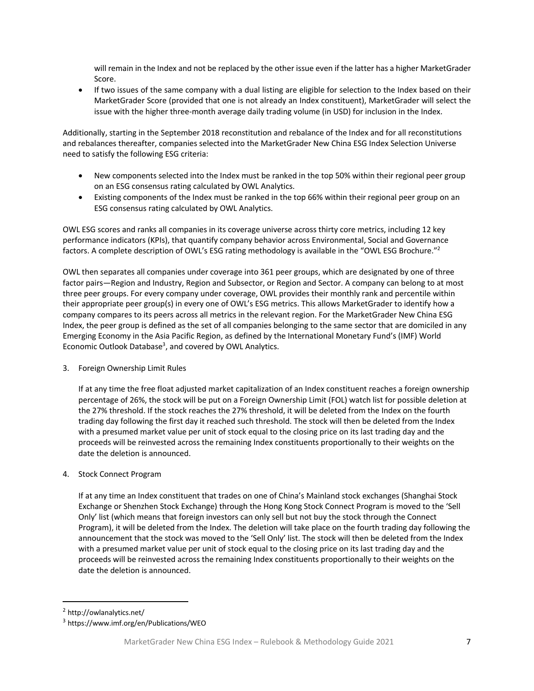will remain in the Index and not be replaced by the other issue even if the latter has a higher MarketGrader Score.

• If two issues of the same company with a dual listing are eligible for selection to the Index based on their MarketGrader Score (provided that one is not already an Index constituent), MarketGrader will select the issue with the higher three-month average daily trading volume (in USD) for inclusion in the Index.

Additionally, starting in the September 2018 reconstitution and rebalance of the Index and for all reconstitutions and rebalances thereafter, companies selected into the MarketGrader New China ESG Index Selection Universe need to satisfy the following ESG criteria:

- New components selected into the Index must be ranked in the top 50% within their regional peer group on an ESG consensus rating calculated by OWL Analytics.
- Existing components of the Index must be ranked in the top 66% within their regional peer group on an ESG consensus rating calculated by OWL Analytics.

OWL ESG scores and ranks all companies in its coverage universe across thirty core metrics, including 12 key performance indicators (KPIs), that quantify company behavior across Environmental, Social and Governance factors. A complete description of OWL's ESG rating methodology is available in the "OWL ESG Brochure."2

OWL then separates all companies under coverage into 361 peer groups, which are designated by one of three factor pairs—Region and Industry, Region and Subsector, or Region and Sector. A company can belong to at most three peer groups. For every company under coverage, OWL provides their monthly rank and percentile within their appropriate peer group(s) in every one of OWL's ESG metrics. This allows MarketGrader to identify how a company compares to its peers across all metrics in the relevant region. For the MarketGrader New China ESG Index, the peer group is defined as the set of all companies belonging to the same sector that are domiciled in any Emerging Economy in the Asia Pacific Region, as defined by the International Monetary Fund's (IMF) World Economic Outlook Database<sup>3</sup>, and covered by OWL Analytics.

3. Foreign Ownership Limit Rules

If at any time the free float adjusted market capitalization of an Index constituent reaches a foreign ownership percentage of 26%, the stock will be put on a Foreign Ownership Limit (FOL) watch list for possible deletion at the 27% threshold. If the stock reaches the 27% threshold, it will be deleted from the Index on the fourth trading day following the first day it reached such threshold. The stock will then be deleted from the Index with a presumed market value per unit of stock equal to the closing price on its last trading day and the proceeds will be reinvested across the remaining Index constituents proportionally to their weights on the date the deletion is announced.

# 4. Stock Connect Program

If at any time an Index constituent that trades on one of China's Mainland stock exchanges (Shanghai Stock Exchange or Shenzhen Stock Exchange) through the Hong Kong Stock Connect Program is moved to the 'Sell Only' list (which means that foreign investors can only sell but not buy the stock through the Connect Program), it will be deleted from the Index. The deletion will take place on the fourth trading day following the announcement that the stock was moved to the 'Sell Only' list. The stock will then be deleted from the Index with a presumed market value per unit of stock equal to the closing price on its last trading day and the proceeds will be reinvested across the remaining Index constituents proportionally to their weights on the date the deletion is announced.

<sup>2</sup> http://owlanalytics.net/

<sup>3</sup> https://www.imf.org/en/Publications/WEO